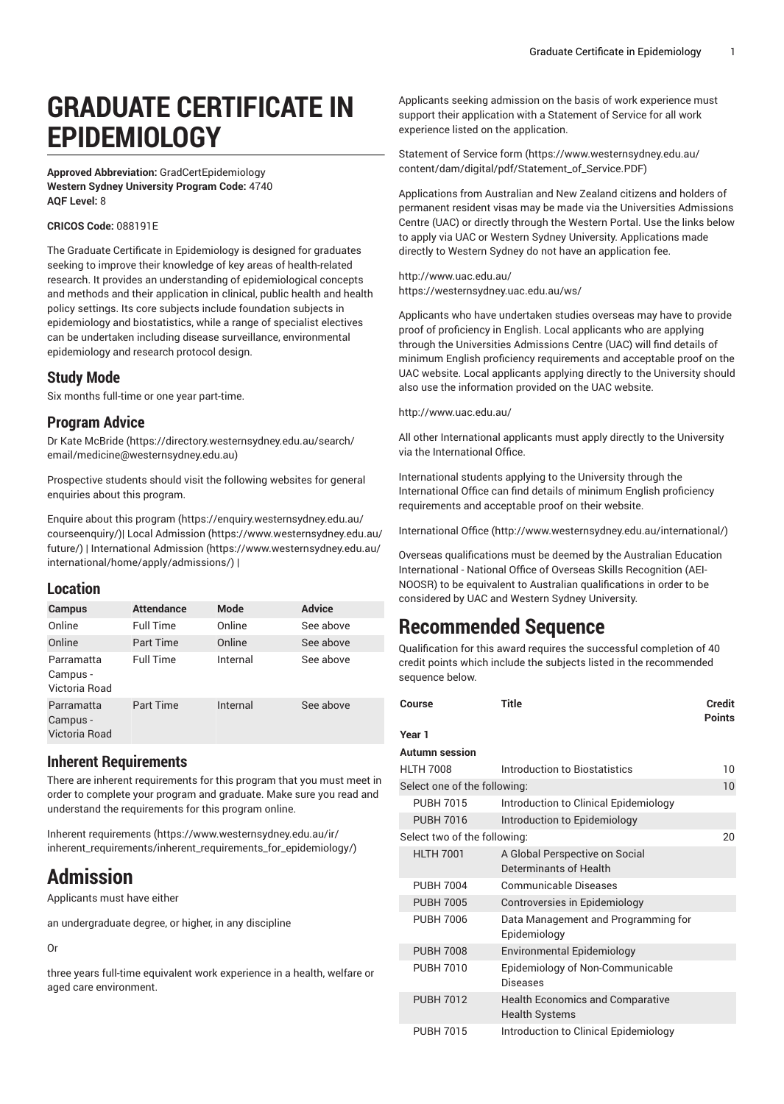# **GRADUATE CERTIFICATE IN EPIDEMIOLOGY**

**Approved Abbreviation:** GradCertEpidemiology **Western Sydney University Program Code:** 4740 **AQF Level:** 8

#### **CRICOS Code:** 088191E

The Graduate Certificate in Epidemiology is designed for graduates seeking to improve their knowledge of key areas of health-related research. It provides an understanding of epidemiological concepts and methods and their application in clinical, public health and health policy settings. Its core subjects include foundation subjects in epidemiology and biostatistics, while a range of specialist electives can be undertaken including disease surveillance, environmental epidemiology and research protocol design.

# **Study Mode**

Six months full-time or one year part-time.

# **Program Advice**

[Dr Kate McBride](https://directory.westernsydney.edu.au/search/email/medicine@westernsydney.edu.au) [\(https://directory.westernsydney.edu.au/search/](https://directory.westernsydney.edu.au/search/email/medicine@westernsydney.edu.au) [email/medicine@westernsydney.edu.au\)](https://directory.westernsydney.edu.au/search/email/medicine@westernsydney.edu.au)

Prospective students should visit the following websites for general enquiries about this program.

Enquire about this [program \(https://enquiry.westernsydney.edu.au/](https://enquiry.westernsydney.edu.au/courseenquiry/) [courseenquiry/](https://enquiry.westernsydney.edu.au/courseenquiry/))| [Local Admission \(https://www.westernsydney.edu.au/](https://www.westernsydney.edu.au/future/) [future/\)](https://www.westernsydney.edu.au/future/) | [International Admission](https://www.westernsydney.edu.au/international/home/apply/admissions/) ([https://www.westernsydney.edu.au/](https://www.westernsydney.edu.au/international/home/apply/admissions/) [international/home/apply/admissions/](https://www.westernsydney.edu.au/international/home/apply/admissions/)) |

### **Location**

| Campus                                  | <b>Attendance</b> | <b>Mode</b> | <b>Advice</b> |
|-----------------------------------------|-------------------|-------------|---------------|
| Online                                  | <b>Full Time</b>  | Online      | See above     |
| Online                                  | Part Time         | Online      | See above     |
| Parramatta<br>Campus -<br>Victoria Road | <b>Full Time</b>  | Internal    | See above     |
| Parramatta<br>Campus -<br>Victoria Road | <b>Part Time</b>  | Internal    | See above     |

## **Inherent Requirements**

There are inherent requirements for this program that you must meet in order to complete your program and graduate. Make sure you read and understand the requirements for this program online.

Inherent [requirements](https://www.westernsydney.edu.au/ir/inherent_requirements/inherent_requirements_for_epidemiology/) ([https://www.westernsydney.edu.au/ir/](https://www.westernsydney.edu.au/ir/inherent_requirements/inherent_requirements_for_epidemiology/) [inherent\\_requirements/inherent\\_requirements\\_for\\_epidemiology/\)](https://www.westernsydney.edu.au/ir/inherent_requirements/inherent_requirements_for_epidemiology/)

# **Admission**

Applicants must have either

an undergraduate degree, or higher, in any discipline

#### Or

three years full-time equivalent work experience in a health, welfare or aged care environment.

Applicants seeking admission on the basis of work experience must support their application with a Statement of Service for all work experience listed on the application.

[Statement](https://www.westernsydney.edu.au/content/dam/digital/pdf/Statement_of_Service.PDF) of Service form [\(https://www.westernsydney.edu.au/](https://www.westernsydney.edu.au/content/dam/digital/pdf/Statement_of_Service.PDF) [content/dam/digital/pdf/Statement\\_of\\_Service.PDF](https://www.westernsydney.edu.au/content/dam/digital/pdf/Statement_of_Service.PDF))

Applications from Australian and New Zealand citizens and holders of permanent resident visas may be made via the Universities Admissions Centre (UAC) or directly through the Western Portal. Use the links below to apply via UAC or Western Sydney University. Applications made directly to Western Sydney do not have an application fee.

<http://www.uac.edu.au/> <https://westernsydney.uac.edu.au/ws/>

Applicants who have undertaken studies overseas may have to provide proof of proficiency in English. Local applicants who are applying through the Universities Admissions Centre (UAC) will find details of minimum English proficiency requirements and acceptable proof on the UAC website. Local applicants applying directly to the University should also use the information provided on the UAC website.

<http://www.uac.edu.au/>

All other International applicants must apply directly to the University via the International Office.

International students applying to the University through the International Office can find details of minimum English proficiency requirements and acceptable proof on their website.

[International Office](http://www.westernsydney.edu.au/international/) ([http://www.westernsydney.edu.au/international/\)](http://www.westernsydney.edu.au/international/)

Overseas qualifications must be deemed by the Australian Education International - National Office of Overseas Skills Recognition (AEI-NOOSR) to be equivalent to Australian qualifications in order to be considered by UAC and Western Sydney University.

# **Recommended Sequence**

Qualification for this award requires the successful completion of 40 credit points which include the subjects listed in the recommended sequence below.

| Course                       | Title                                                            | <b>Credit</b><br><b>Points</b> |
|------------------------------|------------------------------------------------------------------|--------------------------------|
| Year 1                       |                                                                  |                                |
| <b>Autumn session</b>        |                                                                  |                                |
| <b>HLTH 7008</b>             | Introduction to Biostatistics                                    | 10                             |
| Select one of the following: |                                                                  | 10                             |
| <b>PUBH 7015</b>             | Introduction to Clinical Epidemiology                            |                                |
| <b>PUBH 7016</b>             | Introduction to Epidemiology                                     |                                |
| Select two of the following: |                                                                  | 20                             |
| <b>HLTH 7001</b>             | A Global Perspective on Social<br>Determinants of Health         |                                |
| <b>PUBH 7004</b>             | <b>Communicable Diseases</b>                                     |                                |
| <b>PUBH 7005</b>             | Controversies in Epidemiology                                    |                                |
| <b>PUBH 7006</b>             | Data Management and Programming for<br>Epidemiology              |                                |
| <b>PUBH 7008</b>             | <b>Environmental Epidemiology</b>                                |                                |
| <b>PUBH 7010</b>             | Epidemiology of Non-Communicable<br>Diseases                     |                                |
| <b>PUBH 7012</b>             | <b>Health Economics and Comparative</b><br><b>Health Systems</b> |                                |
| <b>PUBH 7015</b>             | Introduction to Clinical Epidemiology                            |                                |